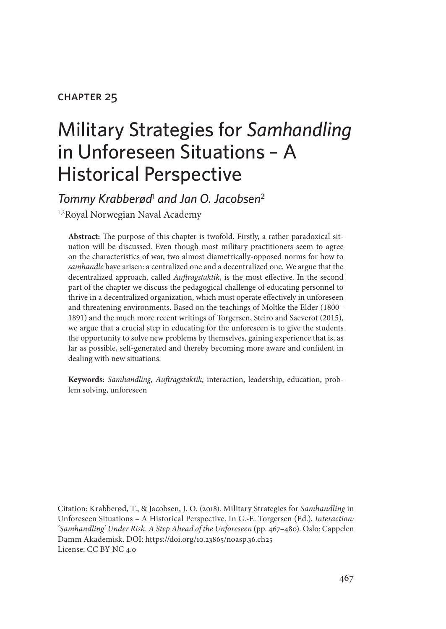#### CHAPTER 25

# Military Strategies for *Samhandling* in Unforeseen Situations – A Historical Perspective

Tommy Krabberød<sup>1</sup> and Jan O. Jacobsen<sup>2</sup>

1,2Royal Norwegian Naval Academy

**Abstract:** The purpose of this chapter is twofold. Firstly, a rather paradoxical situation will be discussed. Even though most military practitioners seem to agree on the characteristics of war, two almost diametrically-opposed norms for how to *samhandle* have arisen: a centralized one and a decentralized one. We argue that the decentralized approach, called *Auftragstaktik*, is the most effective. In the second part of the chapter we discuss the pedagogical challenge of educating personnel to thrive in a decentralized organization, which must operate effectively in unforeseen and threatening environments. Based on the teachings of Moltke the Elder (1800– 1891) and the much more recent writings of Torgersen, Steiro and Saeverot (2015), we argue that a crucial step in educating for the unforeseen is to give the students the opportunity to solve new problems by themselves, gaining experience that is, as far as possible, self-generated and thereby becoming more aware and confident in dealing with new situations.

**Keywords:** *Samhandling*, *Auftragstaktik*, interaction, leadership, education, problem solving, unforeseen

Citation: Krabberød, T., & Jacobsen, J. O. (2018). Military Strategies for *Samhandling* in Unforeseen Situations – A Historical Perspective. In G.-E. Torgersen (Ed.), *Interaction: 'Samhandling' Under Risk. A Step Ahead of the Unforeseen* (pp. 467–480). Oslo: Cappelen Damm Akademisk. DOI: https://doi.org/10.23865/noasp.36.ch25 License: CC BY-NC 4.0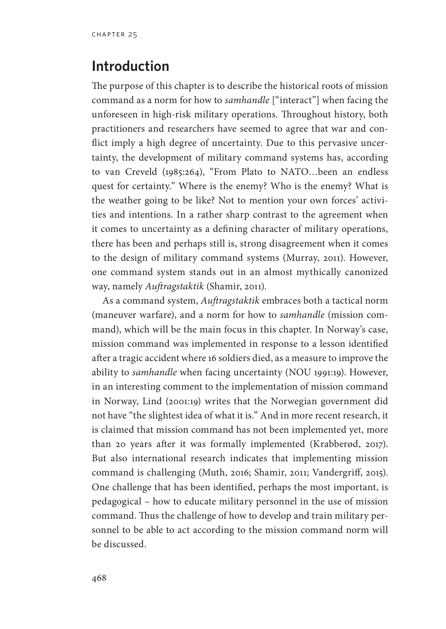## **Introduction**

The purpose of this chapter is to describe the historical roots of mission command as a norm for how to *samhandle* ["interact"] when facing the unforeseen in high-risk military operations. Throughout history, both practitioners and researchers have seemed to agree that war and conflict imply a high degree of uncertainty. Due to this pervasive uncertainty, the development of military command systems has, according to van Creveld (1985:264), "From Plato to NATO…been an endless quest for certainty." Where is the enemy? Who is the enemy? What is the weather going to be like? Not to mention your own forces' activities and intentions. In a rather sharp contrast to the agreement when it comes to uncertainty as a defining character of military operations, there has been and perhaps still is, strong disagreement when it comes to the design of military command systems (Murray, 2011). However, one command system stands out in an almost mythically canonized way, namely *Auftragstaktik* (Shamir, 2011).

As a command system, *Auftragstaktik* embraces both a tactical norm (maneuver warfare), and a norm for how to *samhandle* (mission command), which will be the main focus in this chapter. In Norway's case, mission command was implemented in response to a lesson identified after a tragic accident where 16 soldiers died, as a measure to improve the ability to *samhandle* when facing uncertainty (NOU 1991:19). However, in an interesting comment to the implementation of mission command in Norway, Lind (2001:19) writes that the Norwegian government did not have "the slightest idea of what it is." And in more recent research, it is claimed that mission command has not been implemented yet, more than 20 years after it was formally implemented (Krabberød, 2017). But also international research indicates that implementing mission command is challenging (Muth, 2016; Shamir, 2011; Vandergriff, 2015). One challenge that has been identified, perhaps the most important, is pedagogical – how to educate military personnel in the use of mission command. Thus the challenge of how to develop and train military personnel to be able to act according to the mission command norm will be discussed.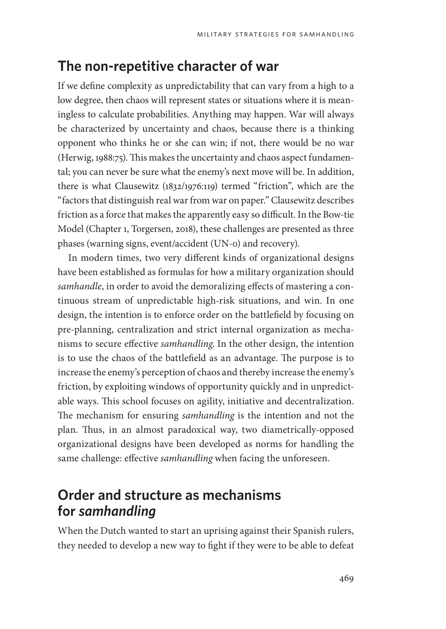# **The non-repetitive character of war**

If we define complexity as unpredictability that can vary from a high to a low degree, then chaos will represent states or situations where it is meaningless to calculate probabilities. Anything may happen. War will always be characterized by uncertainty and chaos, because there is a thinking opponent who thinks he or she can win; if not, there would be no war (Herwig, 1988:75). This makes the uncertainty and chaos aspect fundamental; you can never be sure what the enemy's next move will be. In addition, there is what Clausewitz (1832/1976:119) termed "friction", which are the "factors that distinguish real war from war on paper." Clausewitz describes friction as a force that makes the apparently easy so difficult. In the Bow-tie Model (Chapter 1, Torgersen, 2018), these challenges are presented as three phases (warning signs, event/accident (UN-0) and recovery).

In modern times, two very different kinds of organizational designs have been established as formulas for how a military organization should *samhandle*, in order to avoid the demoralizing effects of mastering a continuous stream of unpredictable high-risk situations, and win. In one design, the intention is to enforce order on the battlefield by focusing on pre-planning, centralization and strict internal organization as mechanisms to secure effective *samhandling*. In the other design, the intention is to use the chaos of the battlefield as an advantage. The purpose is to increase the enemy's perception of chaos and thereby increase the enemy's friction, by exploiting windows of opportunity quickly and in unpredictable ways. This school focuses on agility, initiative and decentralization. The mechanism for ensuring *samhandling* is the intention and not the plan. Thus, in an almost paradoxical way, two diametrically-opposed organizational designs have been developed as norms for handling the same challenge: effective *samhandling* when facing the unforeseen.

# **Order and structure as mechanisms for** *samhandling*

When the Dutch wanted to start an uprising against their Spanish rulers, they needed to develop a new way to fight if they were to be able to defeat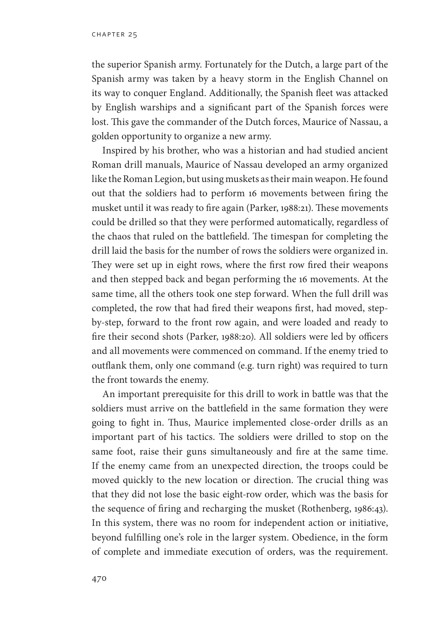the superior Spanish army. Fortunately for the Dutch, a large part of the Spanish army was taken by a heavy storm in the English Channel on its way to conquer England. Additionally, the Spanish fleet was attacked by English warships and a significant part of the Spanish forces were lost. This gave the commander of the Dutch forces, Maurice of Nassau, a golden opportunity to organize a new army.

Inspired by his brother, who was a historian and had studied ancient Roman drill manuals, Maurice of Nassau developed an army organized like the Roman Legion, but using muskets as their main weapon. He found out that the soldiers had to perform 16 movements between firing the musket until it was ready to fire again (Parker, 1988:21). These movements could be drilled so that they were performed automatically, regardless of the chaos that ruled on the battlefield. The timespan for completing the drill laid the basis for the number of rows the soldiers were organized in. They were set up in eight rows, where the first row fired their weapons and then stepped back and began performing the 16 movements. At the same time, all the others took one step forward. When the full drill was completed, the row that had fired their weapons first, had moved, stepby-step, forward to the front row again, and were loaded and ready to fire their second shots (Parker, 1988:20). All soldiers were led by officers and all movements were commenced on command. If the enemy tried to outflank them, only one command (e.g. turn right) was required to turn the front towards the enemy.

An important prerequisite for this drill to work in battle was that the soldiers must arrive on the battlefield in the same formation they were going to fight in. Thus, Maurice implemented close-order drills as an important part of his tactics. The soldiers were drilled to stop on the same foot, raise their guns simultaneously and fire at the same time. If the enemy came from an unexpected direction, the troops could be moved quickly to the new location or direction. The crucial thing was that they did not lose the basic eight-row order, which was the basis for the sequence of firing and recharging the musket (Rothenberg, 1986:43). In this system, there was no room for independent action or initiative, beyond fulfilling one's role in the larger system. Obedience, in the form of complete and immediate execution of orders, was the requirement.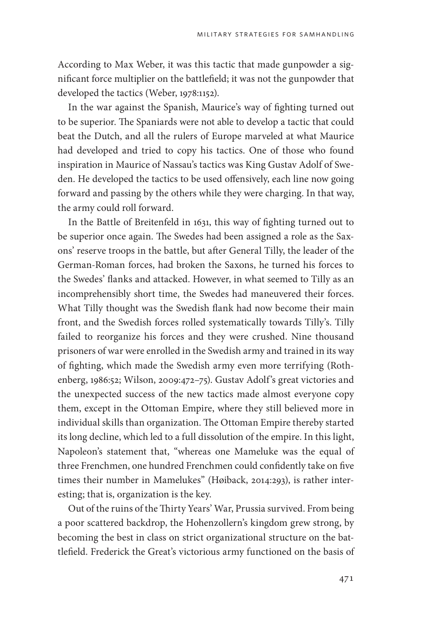According to Max Weber, it was this tactic that made gunpowder a significant force multiplier on the battlefield; it was not the gunpowder that developed the tactics (Weber, 1978:1152).

In the war against the Spanish, Maurice's way of fighting turned out to be superior. The Spaniards were not able to develop a tactic that could beat the Dutch, and all the rulers of Europe marveled at what Maurice had developed and tried to copy his tactics. One of those who found inspiration in Maurice of Nassau's tactics was King Gustav Adolf of Sweden. He developed the tactics to be used offensively, each line now going forward and passing by the others while they were charging. In that way, the army could roll forward.

In the Battle of Breitenfeld in 1631, this way of fighting turned out to be superior once again. The Swedes had been assigned a role as the Saxons' reserve troops in the battle, but after General Tilly, the leader of the German-Roman forces, had broken the Saxons, he turned his forces to the Swedes' flanks and attacked. However, in what seemed to Tilly as an incomprehensibly short time, the Swedes had maneuvered their forces. What Tilly thought was the Swedish flank had now become their main front, and the Swedish forces rolled systematically towards Tilly's. Tilly failed to reorganize his forces and they were crushed. Nine thousand prisoners of war were enrolled in the Swedish army and trained in its way of fighting, which made the Swedish army even more terrifying (Rothenberg, 1986:52; Wilson, 2009:472–75). Gustav Adolf's great victories and the unexpected success of the new tactics made almost everyone copy them, except in the Ottoman Empire, where they still believed more in individual skills than organization. The Ottoman Empire thereby started its long decline, which led to a full dissolution of the empire. In this light, Napoleon's statement that, "whereas one Mameluke was the equal of three Frenchmen, one hundred Frenchmen could confidently take on five times their number in Mamelukes" (Høiback, 2014:293), is rather interesting; that is, organization is the key.

Out of the ruins of the Thirty Years' War, Prussia survived. From being a poor scattered backdrop, the Hohenzollern's kingdom grew strong, by becoming the best in class on strict organizational structure on the battlefield. Frederick the Great's victorious army functioned on the basis of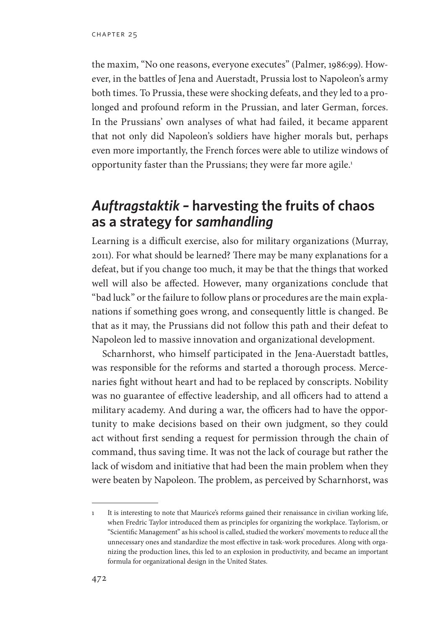the maxim, "No one reasons, everyone executes" (Palmer, 1986:99). However, in the battles of Jena and Auerstadt, Prussia lost to Napoleon's army both times. To Prussia, these were shocking defeats, and they led to a prolonged and profound reform in the Prussian, and later German, forces. In the Prussians' own analyses of what had failed, it became apparent that not only did Napoleon's soldiers have higher morals but, perhaps even more importantly, the French forces were able to utilize windows of opportunity faster than the Prussians; they were far more agile.<sup>1</sup>

# *Auftragstaktik –* **harvesting the fruits of chaos as a strategy for** *samhandling*

Learning is a difficult exercise, also for military organizations (Murray, 2011). For what should be learned? There may be many explanations for a defeat, but if you change too much, it may be that the things that worked well will also be affected. However, many organizations conclude that "bad luck" or the failure to follow plans or procedures are the main explanations if something goes wrong, and consequently little is changed. Be that as it may, the Prussians did not follow this path and their defeat to Napoleon led to massive innovation and organizational development.

Scharnhorst, who himself participated in the Jena-Auerstadt battles, was responsible for the reforms and started a thorough process. Mercenaries fight without heart and had to be replaced by conscripts. Nobility was no guarantee of effective leadership, and all officers had to attend a military academy. And during a war, the officers had to have the opportunity to make decisions based on their own judgment, so they could act without first sending a request for permission through the chain of command, thus saving time. It was not the lack of courage but rather the lack of wisdom and initiative that had been the main problem when they were beaten by Napoleon. The problem, as perceived by Scharnhorst, was

<sup>1</sup> It is interesting to note that Maurice's reforms gained their renaissance in civilian working life, when Fredric Taylor introduced them as principles for organizing the workplace. Taylorism, or "Scientific Management" as his school is called, studied the workers' movements to reduce all the unnecessary ones and standardize the most effective in task-work procedures. Along with organizing the production lines, this led to an explosion in productivity, and became an important formula for organizational design in the United States.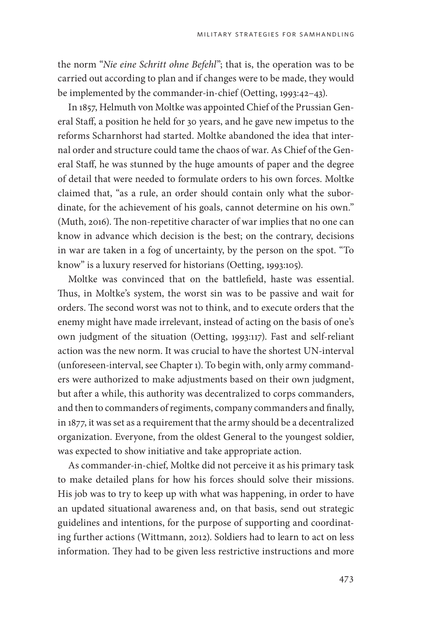the norm "*Nie eine Schritt ohne Befehl*"; that is, the operation was to be carried out according to plan and if changes were to be made, they would be implemented by the commander-in-chief (Oetting, 1993:42–43).

In 1857, Helmuth von Moltke was appointed Chief of the Prussian General Staff, a position he held for 30 years, and he gave new impetus to the reforms Scharnhorst had started. Moltke abandoned the idea that internal order and structure could tame the chaos of war. As Chief of the General Staff, he was stunned by the huge amounts of paper and the degree of detail that were needed to formulate orders to his own forces. Moltke claimed that, "as a rule, an order should contain only what the subordinate, for the achievement of his goals, cannot determine on his own." (Muth, 2016). The non-repetitive character of war implies that no one can know in advance which decision is the best; on the contrary, decisions in war are taken in a fog of uncertainty, by the person on the spot. "To know" is a luxury reserved for historians (Oetting, 1993:105).

Moltke was convinced that on the battlefield, haste was essential. Thus, in Moltke's system, the worst sin was to be passive and wait for orders. The second worst was not to think, and to execute orders that the enemy might have made irrelevant, instead of acting on the basis of one's own judgment of the situation (Oetting, 1993:117). Fast and self-reliant action was the new norm. It was crucial to have the shortest UN-interval (unforeseen-interval, see Chapter 1). To begin with, only army commanders were authorized to make adjustments based on their own judgment, but after a while, this authority was decentralized to corps commanders, and then to commanders of regiments, company commanders and finally, in 1877, it was set as a requirement that the army should be a decentralized organization. Everyone, from the oldest General to the youngest soldier, was expected to show initiative and take appropriate action.

As commander-in-chief, Moltke did not perceive it as his primary task to make detailed plans for how his forces should solve their missions. His job was to try to keep up with what was happening, in order to have an updated situational awareness and, on that basis, send out strategic guidelines and intentions, for the purpose of supporting and coordinating further actions (Wittmann, 2012). Soldiers had to learn to act on less information. They had to be given less restrictive instructions and more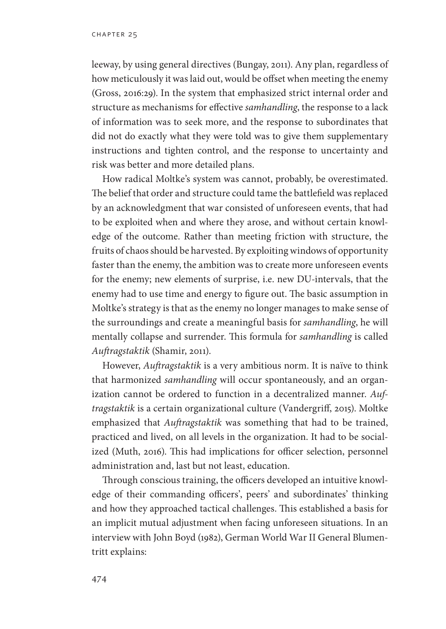leeway, by using general directives (Bungay, 2011). Any plan, regardless of how meticulously it was laid out, would be offset when meeting the enemy (Gross, 2016:29). In the system that emphasized strict internal order and structure as mechanisms for effective *samhandling*, the response to a lack of information was to seek more, and the response to subordinates that did not do exactly what they were told was to give them supplementary instructions and tighten control, and the response to uncertainty and risk was better and more detailed plans.

How radical Moltke's system was cannot, probably, be overestimated. The belief that order and structure could tame the battlefield was replaced by an acknowledgment that war consisted of unforeseen events, that had to be exploited when and where they arose, and without certain knowledge of the outcome. Rather than meeting friction with structure, the fruits of chaos should be harvested. By exploiting windows of opportunity faster than the enemy, the ambition was to create more unforeseen events for the enemy; new elements of surprise, i.e. new DU-intervals, that the enemy had to use time and energy to figure out. The basic assumption in Moltke's strategy is that as the enemy no longer manages to make sense of the surroundings and create a meaningful basis for *samhandling*, he will mentally collapse and surrender. This formula for *samhandling* is called *Auftragstaktik* (Shamir, 2011).

However, *Auftragstaktik* is a very ambitious norm. It is naïve to think that harmonized *samhandling* will occur spontaneously, and an organization cannot be ordered to function in a decentralized manner. *Auftragstaktik* is a certain organizational culture (Vandergriff, 2015). Moltke emphasized that *Auftragstaktik* was something that had to be trained, practiced and lived, on all levels in the organization. It had to be socialized (Muth, 2016). This had implications for officer selection, personnel administration and, last but not least, education.

Through conscious training, the officers developed an intuitive knowledge of their commanding officers', peers' and subordinates' thinking and how they approached tactical challenges. This established a basis for an implicit mutual adjustment when facing unforeseen situations. In an interview with John Boyd (1982), German World War II General Blumentritt explains: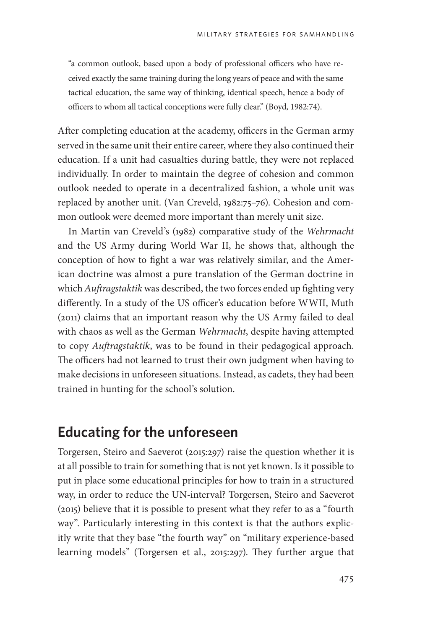"a common outlook, based upon a body of professional officers who have received exactly the same training during the long years of peace and with the same tactical education, the same way of thinking, identical speech, hence a body of officers to whom all tactical conceptions were fully clear." (Boyd, 1982:74).

After completing education at the academy, officers in the German army served in the same unit their entire career, where they also continued their education. If a unit had casualties during battle, they were not replaced individually. In order to maintain the degree of cohesion and common outlook needed to operate in a decentralized fashion, a whole unit was replaced by another unit. (Van Creveld, 1982:75–76). Cohesion and common outlook were deemed more important than merely unit size.

In Martin van Creveld's (1982) comparative study of the *Wehrmacht* and the US Army during World War II, he shows that, although the conception of how to fight a war was relatively similar, and the American doctrine was almost a pure translation of the German doctrine in which *Auftragstaktik* was described, the two forces ended up fighting very differently. In a study of the US officer's education before WWII, Muth (2011) claims that an important reason why the US Army failed to deal with chaos as well as the German *Wehrmacht*, despite having attempted to copy *Auftragstaktik*, was to be found in their pedagogical approach. The officers had not learned to trust their own judgment when having to make decisions in unforeseen situations. Instead, as cadets, they had been trained in hunting for the school's solution.

#### **Educating for the unforeseen**

Torgersen, Steiro and Saeverot (2015:297) raise the question whether it is at all possible to train for something that is not yet known. Is it possible to put in place some educational principles for how to train in a structured way, in order to reduce the UN-interval? Torgersen, Steiro and Saeverot (2015) believe that it is possible to present what they refer to as a "fourth way". Particularly interesting in this context is that the authors explicitly write that they base "the fourth way" on "military experience-based learning models" (Torgersen et al., 2015:297). They further argue that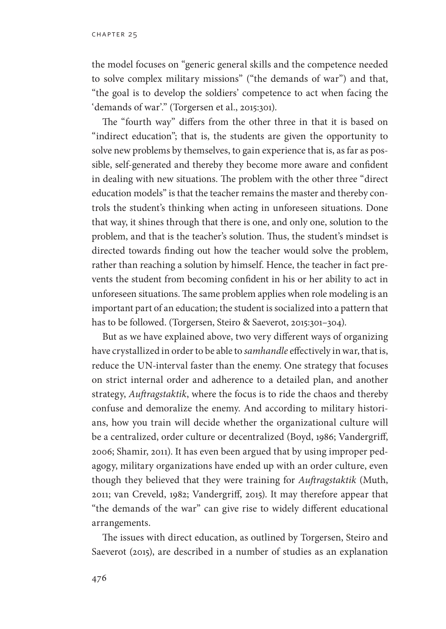the model focuses on "generic general skills and the competence needed to solve complex military missions" ("the demands of war") and that, "the goal is to develop the soldiers' competence to act when facing the 'demands of war'." (Torgersen et al., 2015:301).

The "fourth way" differs from the other three in that it is based on "indirect education"; that is, the students are given the opportunity to solve new problems by themselves, to gain experience that is, as far as possible, self-generated and thereby they become more aware and confident in dealing with new situations. The problem with the other three "direct education models" is that the teacher remains the master and thereby controls the student's thinking when acting in unforeseen situations. Done that way, it shines through that there is one, and only one, solution to the problem, and that is the teacher's solution. Thus, the student's mindset is directed towards finding out how the teacher would solve the problem, rather than reaching a solution by himself. Hence, the teacher in fact prevents the student from becoming confident in his or her ability to act in unforeseen situations. The same problem applies when role modeling is an important part of an education; the student is socialized into a pattern that has to be followed. (Torgersen, Steiro & Saeverot, 2015:301–304).

But as we have explained above, two very different ways of organizing have crystallized in order to be able to *samhandle* effectively in war, that is, reduce the UN-interval faster than the enemy. One strategy that focuses on strict internal order and adherence to a detailed plan, and another strategy, *Auftragstaktik*, where the focus is to ride the chaos and thereby confuse and demoralize the enemy. And according to military historians, how you train will decide whether the organizational culture will be a centralized, order culture or decentralized (Boyd, 1986; Vandergriff, 2006; Shamir, 2011). It has even been argued that by using improper pedagogy, military organizations have ended up with an order culture, even though they believed that they were training for *Auftragstaktik* (Muth, 2011; van Creveld, 1982; Vandergriff, 2015). It may therefore appear that "the demands of the war" can give rise to widely different educational arrangements.

The issues with direct education, as outlined by Torgersen, Steiro and Saeverot (2015), are described in a number of studies as an explanation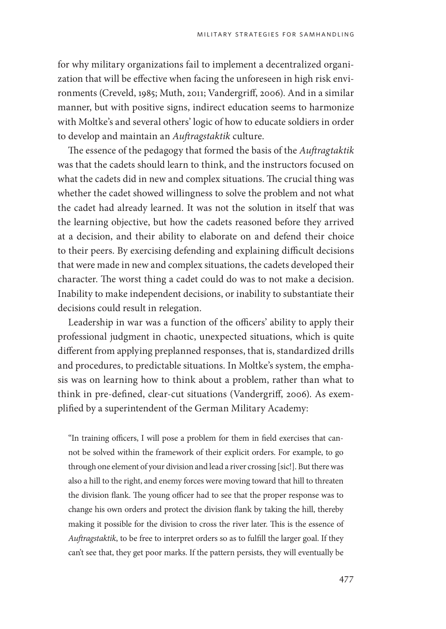for why military organizations fail to implement a decentralized organization that will be effective when facing the unforeseen in high risk environments (Creveld, 1985; Muth, 2011; Vandergriff, 2006). And in a similar manner, but with positive signs, indirect education seems to harmonize with Moltke's and several others' logic of how to educate soldiers in order to develop and maintain an *Auftragstaktik* culture.

The essence of the pedagogy that formed the basis of the *Auftragtaktik* was that the cadets should learn to think, and the instructors focused on what the cadets did in new and complex situations. The crucial thing was whether the cadet showed willingness to solve the problem and not what the cadet had already learned. It was not the solution in itself that was the learning objective, but how the cadets reasoned before they arrived at a decision, and their ability to elaborate on and defend their choice to their peers. By exercising defending and explaining difficult decisions that were made in new and complex situations, the cadets developed their character. The worst thing a cadet could do was to not make a decision. Inability to make independent decisions, or inability to substantiate their decisions could result in relegation.

Leadership in war was a function of the officers' ability to apply their professional judgment in chaotic, unexpected situations, which is quite different from applying preplanned responses, that is, standardized drills and procedures, to predictable situations. In Moltke's system, the emphasis was on learning how to think about a problem, rather than what to think in pre-defined, clear-cut situations (Vandergriff, 2006). As exemplified by a superintendent of the German Military Academy:

"In training officers, I will pose a problem for them in field exercises that cannot be solved within the framework of their explicit orders. For example, to go through one element of your division and lead a river crossing [sic!]. But there was also a hill to the right, and enemy forces were moving toward that hill to threaten the division flank. The young officer had to see that the proper response was to change his own orders and protect the division flank by taking the hill, thereby making it possible for the division to cross the river later. This is the essence of *Auftragstaktik*, to be free to interpret orders so as to fulfill the larger goal. If they can't see that, they get poor marks. If the pattern persists, they will eventually be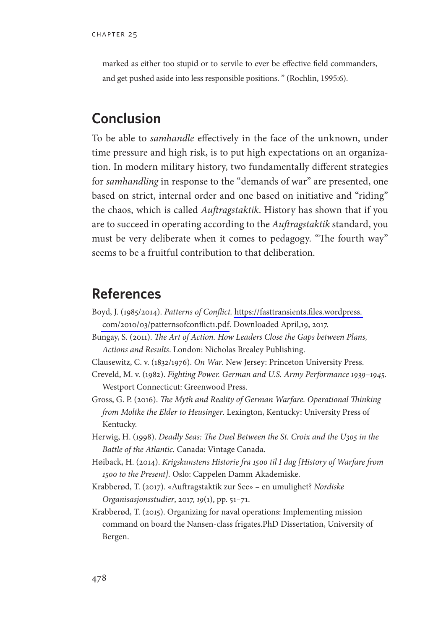marked as either too stupid or to servile to ever be effective field commanders, and get pushed aside into less responsible positions. " (Rochlin, 1995:6).

### **Conclusion**

To be able to *samhandle* effectively in the face of the unknown, under time pressure and high risk, is to put high expectations on an organization. In modern military history, two fundamentally different strategies for *samhandling* in response to the "demands of war" are presented, one based on strict, internal order and one based on initiative and "riding" the chaos, which is called *Auftragstaktik*. History has shown that if you are to succeed in operating according to the *Auftragstaktik* standard, you must be very deliberate when it comes to pedagogy. "The fourth way" seems to be a fruitful contribution to that deliberation.

#### **References**

- Boyd, J. (1985/2014). *Patterns of Conflict.* [https://fasttransients.files.wordpress.](https://fasttransients.files.wordpress.com/2010/03/patternsofconflict1.pdf) [com/2010/03/patternsofconflict1.pdf.](https://fasttransients.files.wordpress.com/2010/03/patternsofconflict1.pdf) Downloaded April,19, 2017.
- Bungay, S. (2011). *The Art of Action. How Leaders Close the Gaps between Plans, Actions and Results*. London: Nicholas Brealey Publishing.
- Clausewitz, C. v. (1832/1976). *On War*. New Jersey: Princeton University Press.
- Creveld, M. v. (1982). *Fighting Power. German and U.S. Army Performance 1939–1945.* Westport Connecticut: Greenwood Press.
- Gross, G. P. (2016). *The Myth and Reality of German Warfare. Operational Thinking from Moltke the Elder to Heusinger*. Lexington, Kentucky: University Press of Kentucky.
- Herwig, H. (1998). *Deadly Seas: The Duel Between the St. Croix and the U305 in the Battle of the Atlantic.* Canada: Vintage Canada.
- Høiback, H. (2014). *Krigskunstens Historie fra 1500 til I dag [History of Warfare from 1500 to the Present].* Oslo: Cappelen Damm Akademiske.
- Krabberød, T. (2017). «Auftragstaktik zur See» en umulighet? *Nordiske Organisasjonsstudier*, 2017, *19*(1), pp. 51–71.
- Krabberød, T. (2015). Organizing for naval operations: Implementing mission command on board the Nansen-class frigates.PhD Dissertation, University of Bergen.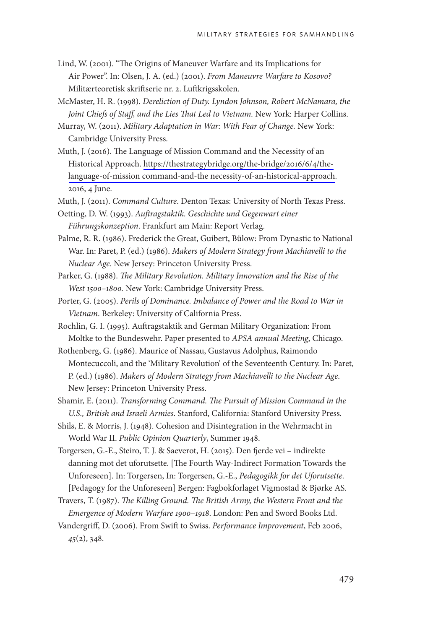- Lind, W. (2001). "The Origins of Maneuver Warfare and its Implications for Air Power". In: Olsen, J. A. (ed.) (2001). *From Maneuvre Warfare to Kosovo?* Militærteoretisk skriftserie nr. 2. Luftkrigsskolen.
- McMaster, H. R. (1998). *Dereliction of Duty. Lyndon Johnson, Robert McNamara, the*  Joint Chiefs of Staff, and the Lies That Led to Vietnam. New York: Harper Collins.
- Murray, W. (2011). *Military Adaptation in War: With Fear of Change.* New York: Cambridge University Press.
- Muth, J. (2016). The Language of Mission Command and the Necessity of an Historical Approach. [https://thestrategybridge.org/the-bridge/2016/6/4/the](https://thestrategybridge.org/the-bridge/2016/6/4/thelanguage-of-mission command-and-the necessity-of-an-historical-approach)[language-of-mission command-and-the necessity-of-an-historical-approach](https://thestrategybridge.org/the-bridge/2016/6/4/thelanguage-of-mission command-and-the necessity-of-an-historical-approach). 2016, 4 June.
- Muth, J. (2011). *Command Culture*. Denton Texas: University of North Texas Press.
- Oetting, D. W. (1993). *Auftragstaktik. Geschichte und Gegenwart einer Führungskonzeption*. Frankfurt am Main: Report Verlag.
- Palme, R. R. (1986). Frederick the Great, Guibert, Bülow: From Dynastic to National War. In: Paret, P. (ed.) (1986). *Makers of Modern Strategy from Machiavelli to the Nuclear Age*. New Jersey: Princeton University Press.
- Parker, G. (1988). *The Military Revolution. Military Innovation and the Rise of the West 1500–1800.* New York: Cambridge University Press.
- Porter, G. (2005). *Perils of Dominance. Imbalance of Power and the Road to War in Vietnam*. Berkeley: University of California Press.
- Rochlin, G. I. (1995). Auftragstaktik and German Military Organization: From Moltke to the Bundeswehr. Paper presented to *APSA annual Meeting*, Chicago.
- Rothenberg, G. (1986). Maurice of Nassau, Gustavus Adolphus, Raimondo Montecuccoli, and the 'Military Revolution' of the Seventeenth Century. In: Paret, P. (ed.) (1986). *Makers of Modern Strategy from Machiavelli to the Nuclear Age*. New Jersey: Princeton University Press.
- Shamir, E. (2011). *Transforming Command. The Pursuit of Mission Command in the U.S., British and Israeli Armies*. Stanford, California: Stanford University Press.
- Shils, E. & Morris, J. (1948). Cohesion and Disintegration in the Wehrmacht in World War II. *Public Opinion Quarterly*, Summer 1948.
- Torgersen, G.-E., Steiro, T. J. & Saeverot, H. (2015). Den fjerde vei indirekte danning mot det uforutsette. [The Fourth Way-Indirect Formation Towards the Unforeseen]. In: Torgersen, In: Torgersen, G.-E., *Pedagogikk for det Uforutsette.* [Pedagogy for the Unforeseen] Bergen: Fagbokforlaget Vigmostad & Bjørke AS.
- Travers, T. (1987). *The Killing Ground. The British Army, the Western Front and the Emergence of Modern Warfare 1900–1918*. London: Pen and Sword Books Ltd.
- Vandergriff, D. (2006). From Swift to Swiss. *Performance Improvement*, Feb 2006, *45*(2), 348.